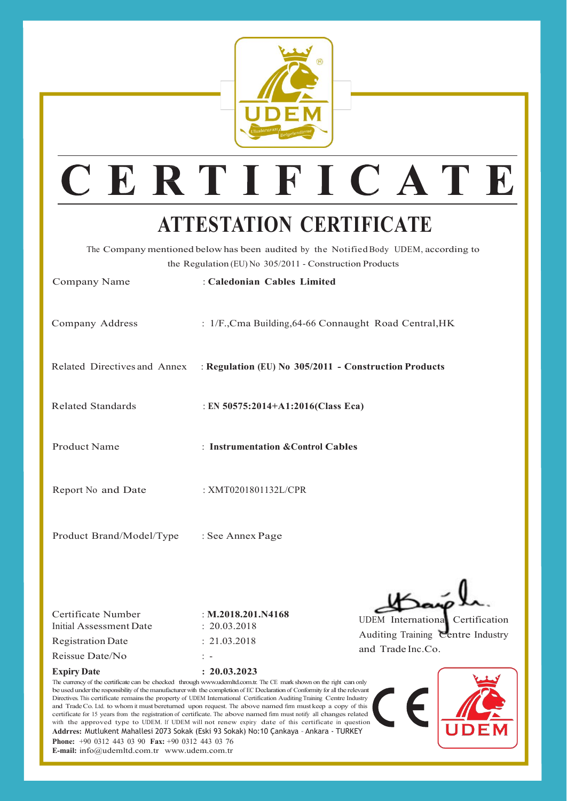

## CERTIFICATE

## **ATTESTATION CERTIFICATE**

The Company mentioned belowhas been audited by the Notified Body UDEM, according to the Regulation (EU) No 305/2011 - Construction Products

| Company Name             | : Caledonian Cables Limited                                                        |  |
|--------------------------|------------------------------------------------------------------------------------|--|
| Company Address          | : 1/F., Cma Building, 64-66 Connaught Road Central, HK                             |  |
|                          | Related Directives and Annex : Regulation (EU) No 305/2011 - Construction Products |  |
| <b>Related Standards</b> | : EN 50575:2014+A1:2016(Class Eca)                                                 |  |
| Product Name             | : Instrumentation & Control Cables                                                 |  |
| Report No and Date       | : XMT0201801132L/CPR                                                               |  |
| Product Brand/Model/Type | : See Annex Page                                                                   |  |

| Certificate Number<br>Initial Assessment Date | : M.2018.201.N4168<br>$\div$ 20.03.2018 | UDEI<br>Audi |  |
|-----------------------------------------------|-----------------------------------------|--------------|--|
| <b>Registration Date</b>                      | $\div$ 21.03.2018                       |              |  |
| Reissue Date/No                               | $\cdot$ $-$                             | and          |  |

**Expiry Date : 20.03.2023**

UDEM International Certification

Auditing Training Centre Industry and Trade Inc.Co.





**E-mail:** [info@udemltd.com.tr](mailto:info@udemltd.com.tr) [www.udem.com.tr](http://www.udem.com.tr/)